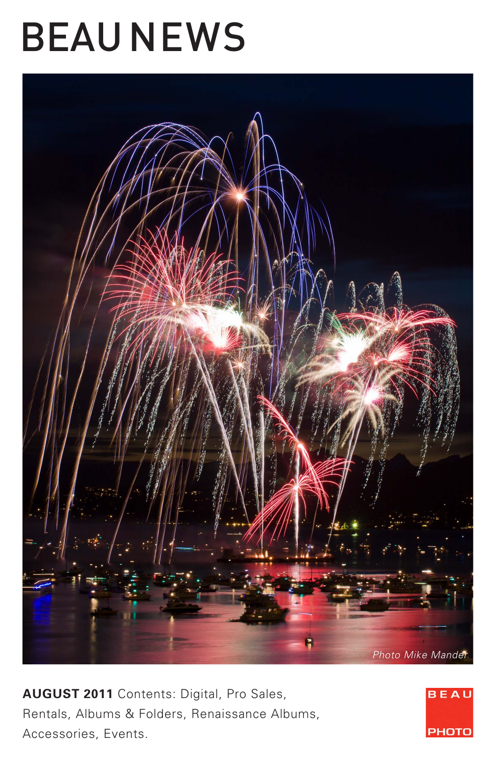# BEAU NEWS



**AUGUST 2011** Contents: Digital, Pro Sales, Rentals, Albums & Folders, Renaissance Albums, Accessories, Events.

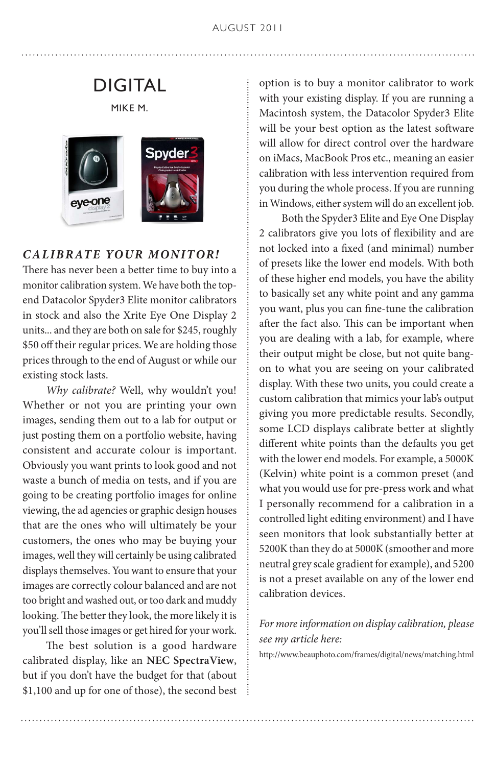### DIGITAL

MIKE M.



### *CALIBRATE YOUR MONITOR!*

There has never been a better time to buy into a monitor calibration system. We have both the topend Datacolor Spyder3 Elite monitor calibrators in stock and also the Xrite Eye One Display 2 units... and they are both on sale for \$245, roughly \$50 off their regular prices. We are holding those prices through to the end of August or while our existing stock lasts.

 *Why calibrate?* Well, why wouldn't you! Whether or not you are printing your own images, sending them out to a lab for output or just posting them on a portfolio website, having consistent and accurate colour is important. Obviously you want prints to look good and not waste a bunch of media on tests, and if you are going to be creating portfolio images for online viewing, the ad agencies or graphic design houses that are the ones who will ultimately be your customers, the ones who may be buying your images, well they will certainly be using calibrated displays themselves. You want to ensure that your images are correctly colour balanced and are not too bright and washed out, or too dark and muddy looking. The better they look, the more likely it is you'll sell those images or get hired for your work.

 The best solution is a good hardware calibrated display, like an **NEC SpectraView**, but if you don't have the budget for that (about \$1,100 and up for one of those), the second best option is to buy a monitor calibrator to work with your existing display. If you are running a Macintosh system, the Datacolor Spyder3 Elite will be your best option as the latest software will allow for direct control over the hardware on iMacs, MacBook Pros etc., meaning an easier calibration with less intervention required from you during the whole process. If you are running in Windows, either system will do an excellent job.

 Both the Spyder3 Elite and Eye One Display 2 calibrators give you lots of flexibility and are not locked into a fixed (and minimal) number of presets like the lower end models. With both of these higher end models, you have the ability to basically set any white point and any gamma you want, plus you can fine-tune the calibration after the fact also. This can be important when you are dealing with a lab, for example, where their output might be close, but not quite bangon to what you are seeing on your calibrated display. With these two units, you could create a custom calibration that mimics your lab's output giving you more predictable results. Secondly, some LCD displays calibrate better at slightly different white points than the defaults you get with the lower end models. For example, a 5000K (Kelvin) white point is a common preset (and what you would use for pre-press work and what I personally recommend for a calibration in a controlled light editing environment) and I have seen monitors that look substantially better at 5200K than they do at 5000K (smoother and more neutral grey scale gradient for example), and 5200 is not a preset available on any of the lower end calibration devices.

### *For more information on display calibration, please see my article here:*

http://www.beauphoto.com/frames/digital/news/matching.html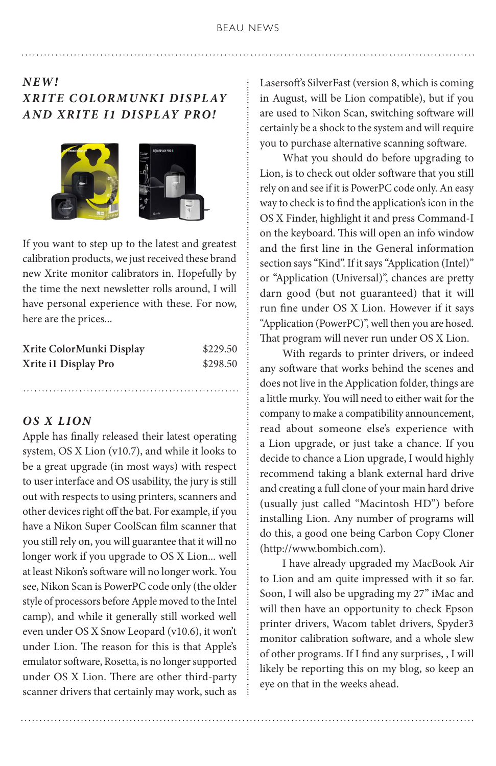### *NEW! XRITE C OLORMUNKI DISPL AY AND XRITE I1 DISPLAY PRO!*



If you want to step up to the latest and greatest calibration products, we just received these brand new Xrite monitor calibrators in. Hopefully by the time the next newsletter rolls around, I will have personal experience with these. For now, here are the prices...

| Xrite ColorMunki Display | \$229.50 |
|--------------------------|----------|
| Xrite i1 Display Pro     | \$298.50 |

#### *OS X LION*

Apple has finally released their latest operating system, OS X Lion (v10.7), and while it looks to be a great upgrade (in most ways) with respect to user interface and OS usability, the jury is still out with respects to using printers, scanners and other devices right off the bat. For example, if you have a Nikon Super CoolScan film scanner that you still rely on, you will guarantee that it will no longer work if you upgrade to OS X Lion... well at least Nikon's software will no longer work. You see, Nikon Scan is PowerPC code only (the older style of processors before Apple moved to the Intel camp), and while it generally still worked well even under OS X Snow Leopard (v10.6), it won't under Lion. The reason for this is that Apple's emulator software, Rosetta, is no longer supported under OS X Lion. There are other third-party scanner drivers that certainly may work, such as Lasersoft's SilverFast (version 8, which is coming in August, will be Lion compatible), but if you are used to Nikon Scan, switching software will certainly be a shock to the system and will require you to purchase alternative scanning software.

 What you should do before upgrading to Lion, is to check out older software that you still rely on and see if it is PowerPC code only. An easy way to check is to find the application's icon in the OS X Finder, highlight it and press Command-I on the keyboard. This will open an info window and the first line in the General information section says "Kind". If it says "Application (Intel)" or "Application (Universal)", chances are pretty darn good (but not guaranteed) that it will run fine under OS X Lion. However if it says "Application (PowerPC)", well then you are hosed. That program will never run under OS X Lion.

 With regards to printer drivers, or indeed any software that works behind the scenes and does not live in the Application folder, things are a little murky. You will need to either wait for the company to make a compatibility announcement, read about someone else's experience with a Lion upgrade, or just take a chance. If you decide to chance a Lion upgrade, I would highly recommend taking a blank external hard drive and creating a full clone of your main hard drive (usually just called "Macintosh HD") before installing Lion. Any number of programs will do this, a good one being Carbon Copy Cloner (http://www.bombich.com).

 I have already upgraded my MacBook Air to Lion and am quite impressed with it so far. Soon, I will also be upgrading my 27" iMac and will then have an opportunity to check Epson printer drivers, Wacom tablet drivers, Spyder3 monitor calibration software, and a whole slew of other programs. If I find any surprises, , I will likely be reporting this on my blog, so keep an eye on that in the weeks ahead.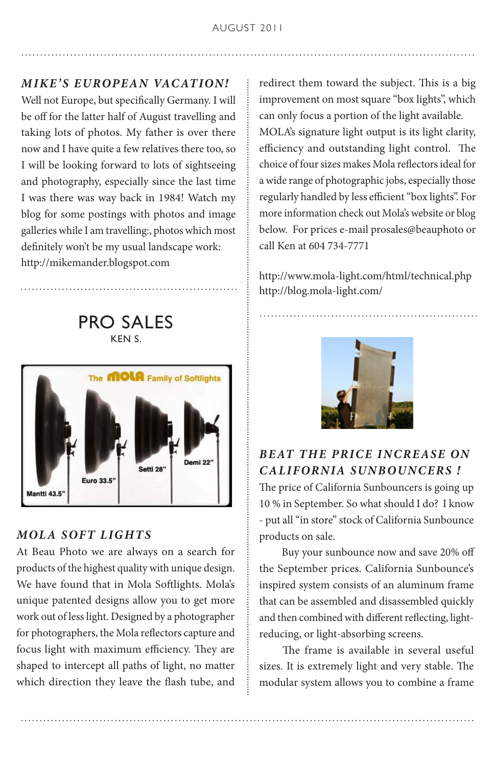### **MIKE'S EUROPEAN VACATION!**

Well not Europe, but specifically Germany. I will be off for the latter half of August travelling and taking lots of photos. My father is over there now and I have quite a few relatives there too, so I will be looking forward to lots of sightseeing and photography, especially since the last time I was there was way back in 1984! Watch my blog for some postings with photos and image galleries while I am travelling:, photos which most definitely won't be my usual landscape work: http://mikemander.blogspot.com

PRO SALES KEN S. The **MOLA** Family of Softlights Jemi 22 Setti 28" Euro 33.5 ntti 43.5

### *MOLA SOFT LIGHTS*

At Beau Photo we are always on a search for products of the highest quality with unique design. We have found that in Mola Softlights. Mola's unique patented designs allow you to get more work out of less light. Designed by a photographer for photographers, the Mola reflectors capture and focus light with maximum efficiency. They are shaped to intercept all paths of light, no matter which direction they leave the flash tube, and

redirect them toward the subject. This is a big improvement on most square "box lights", which can only focus a portion of the light available. MOLA's signature light output is its light clarity, efficiency and outstanding light control. The choice of four sizes makes Mola reflectors ideal for a wide range of photographic jobs, especially those regularly handled by less efficient "box lights". For more information check out Mola's website or blog below. For prices e-mail prosales@beauphoto or call Ken at 604 734-7771

http://www.mola-light.com/html/technical.php http://blog.mola-light.com/



### *BEAT THE PRICE INCREASE ON CALIFORNIA SUNBOUNCERS !*

The price of California Sunbouncers is going up 10 % in September. So what should I do? I know - put all "in store" stock of California Sunbounce products on sale.

 Buy your sunbounce now and save 20% off the September prices. California Sunbounce's inspired system consists of an aluminum frame that can be assembled and disassembled quickly and then combined with different reflecting, lightreducing, or light-absorbing screens.

 The frame is available in several useful sizes. It is extremely light and very stable. The modular system allows you to combine a frame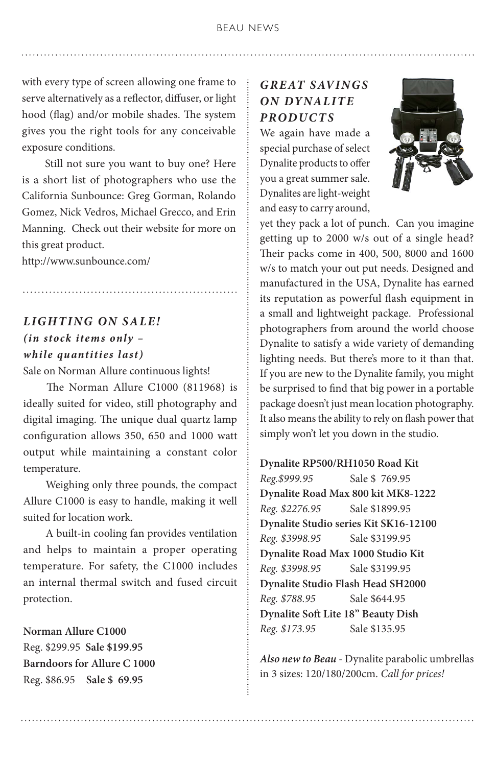with every type of screen allowing one frame to serve alternatively as a reflector, diffuser, or light hood (flag) and/or mobile shades. The system gives you the right tools for any conceivable exposure conditions.

 Still not sure you want to buy one? Here is a short list of photographers who use the California Sunbounce: Greg Gorman, Rolando Gomez, Nick Vedros, Michael Grecco, and Erin Manning. Check out their website for more on this great product.

http://www.sunbounce.com/

### *LIGHTING ON SALE! (in stock item s only – while quantities last)*

Sale on Norman Allure continuous lights!

 The Norman Allure C1000 (811968) is ideally suited for video, still photography and digital imaging. The unique dual quartz lamp configuration allows 350, 650 and 1000 watt output while maintaining a constant color temperature.

 Weighing only three pounds, the compact Allure C1000 is easy to handle, making it well suited for location work.

 A built-in cooling fan provides ventilation and helps to maintain a proper operating temperature. For safety, the C1000 includes an internal thermal switch and fused circuit protection.

#### **Norman Allure C1000**

Reg. \$299.95 **Sale \$199.95 Barndoors for Allure C 1000** Reg. \$86.95 **Sale \$ 69.95**

### *G R E AT S AV I N G S ON DYNALITE PRODUCTS*

We again have made a special purchase of select Dynalite products to offer you a great summer sale. Dynalites are light-weight and easy to carry around,



yet they pack a lot of punch. Can you imagine getting up to 2000 w/s out of a single head? Their packs come in 400, 500, 8000 and 1600 w/s to match your out put needs. Designed and manufactured in the USA, Dynalite has earned its reputation as powerful flash equipment in a small and lightweight package. Professional photographers from around the world choose Dynalite to satisfy a wide variety of demanding lighting needs. But there's more to it than that. If you are new to the Dynalite family, you might be surprised to find that big power in a portable package doesn't just mean location photography. It also means the ability to rely on flash power that simply won't let you down in the studio.

**Dynalite RP500/RH1050 Road Kit**  *Reg.\$999.95* Sale \$ 769.95 **Dynalite Road Max 800 kit MK8-1222** *Reg. \$2276.95* Sale \$1899.95 **Dynalite Studio series Kit SK16-12100** *Reg. \$3998.95* Sale \$3199.95 **Dynalite Road Max 1000 Studio Kit**  *Reg. \$3998.95* Sale \$3199.95 **Dynalite Studio Flash Head SH2000** *Reg. \$788.95* Sale \$644.95 **Dynalite Soft Lite 18" Beauty Dish** *Reg. \$173.95* Sale \$135.95

*Also new to Beau* - Dynalite parabolic umbrellas in 3 sizes: 120/180/200cm. *Call for prices!*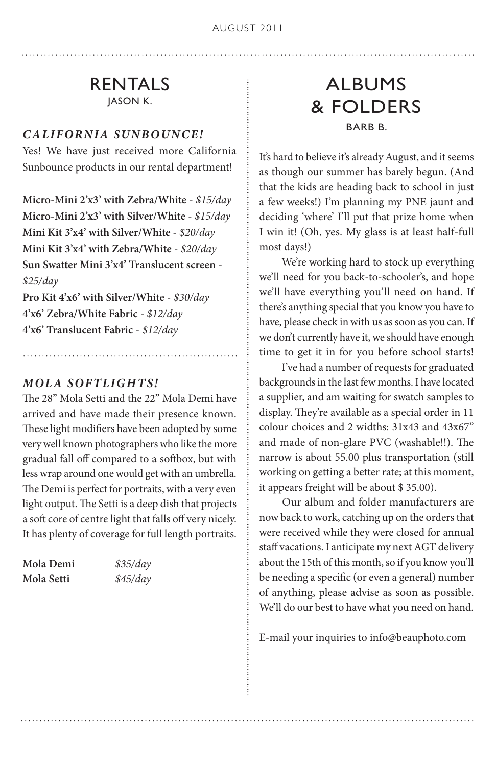### RENTALS JASON K.

### *CALIFORNIA SUNBOUNCE!*

Yes! We have just received more California Sunbounce products in our rental department!

**Micro-Mini 2'x3' with Zebra/White** - *\$15/day* **Micro-Mini 2'x3' with Silver/White** - *\$15/day* **Mini Kit 3'x4' with Silver/White -** *\$20/day* **Mini Kit 3'x4' with Zebra/White** - *\$20/day* **Sun Swatter Mini 3'x4' Translucent screen** - *\$25/day*

**Pro Kit 4'x6' with Silver/White** - *\$30/day* **4'x6' Zebra/White Fabric** - *\$12/day*  **4'x6' Translucent Fabric** - *\$12/day*

### *MOLA SOFTLIGHTS!*

The 28" Mola Setti and the 22" Mola Demi have arrived and have made their presence known. These light modifiers have been adopted by some very well known photographers who like the more gradual fall off compared to a softbox, but with less wrap around one would get with an umbrella. The Demi is perfect for portraits, with a very even light output. The Setti is a deep dish that projects a soft core of centre light that falls off very nicely. It has plenty of coverage for full length portraits.

| Mola Demi  | \$35/day |
|------------|----------|
| Mola Setti | \$45/day |

### ALBUMS & FOLDERS BARB B.

It's hard to believe it's already August, and it seems as though our summer has barely begun. (And that the kids are heading back to school in just a few weeks!) I'm planning my PNE jaunt and deciding 'where' I'll put that prize home when I win it! (Oh, yes. My glass is at least half-full most days!)

 We're working hard to stock up everything we'll need for you back-to-schooler's, and hope we'll have everything you'll need on hand. If there's anything special that you know you have to have, please check in with us as soon as you can. If we don't currently have it, we should have enough time to get it in for you before school starts!

 I've had a number of requests for graduated backgrounds in the last few months. I have located a supplier, and am waiting for swatch samples to display. They're available as a special order in 11 colour choices and 2 widths: 31x43 and 43x67" and made of non-glare PVC (washable!!). The narrow is about 55.00 plus transportation (still working on getting a better rate; at this moment, it appears freight will be about \$ 35.00).

 Our album and folder manufacturers are now back to work, catching up on the orders that were received while they were closed for annual staff vacations. I anticipate my next AGT delivery about the 15th of this month, so if you know you'll be needing a specific (or even a general) number of anything, please advise as soon as possible. We'll do our best to have what you need on hand.

E-mail your inquiries to info@beauphoto.com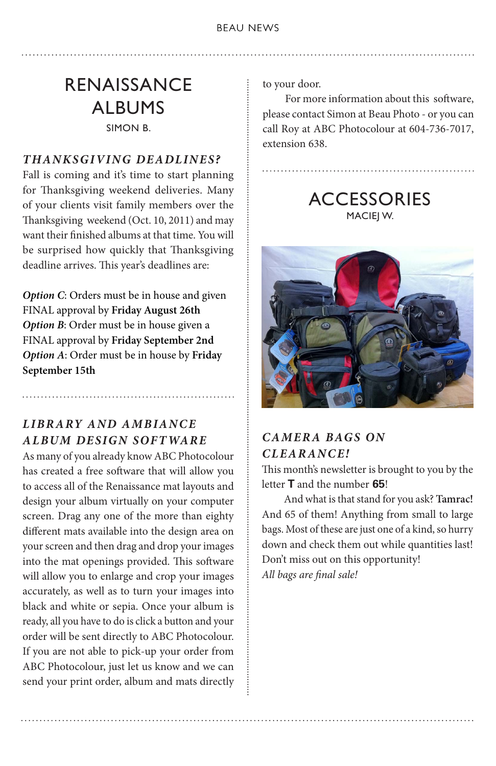### RENAISSANCE ALBUMS SIMON B.

### *THANKSGIVING DEADLINES?*

Fall is coming and it's time to start planning for Thanksgiving weekend deliveries. Many of your clients visit family members over the Thanksgiving weekend (Oct. 10, 2011) and may want their finished albums at that time. You will be surprised how quickly that Thanksgiving deadline arrives. This year's deadlines are:

*Option C*: Orders must be in house and given FINAL approval by **Friday August 26th**  *Option B*: Order must be in house given a FINAL approval by **Friday September 2nd** *Option A*: Order must be in house by **Friday September 15th**

### *LIBR ARY AND AMBIANCE ALBUM DESIGN SOFT WARE*

As many of you already know ABC Photocolour has created a free software that will allow you to access all of the Renaissance mat layouts and design your album virtually on your computer screen. Drag any one of the more than eighty different mats available into the design area on your screen and then drag and drop your images into the mat openings provided. This software will allow you to enlarge and crop your images accurately, as well as to turn your images into black and white or sepia. Once your album is ready, all you have to do is click a button and your order will be sent directly to ABC Photocolour. If you are not able to pick-up your order from ABC Photocolour, just let us know and we can send your print order, album and mats directly to your door.

 For more information about this software, please contact Simon at Beau Photo - or you can call Roy at ABC Photocolour at 604-736-7017, extension 638.

. . . . . . . . . . . . . . . . .

**ACCESSORIES** MACIEJ W.



### *CAMER A BAGS ON CLEARANCE!*

This month's newsletter is brought to you by the letter **T** and the number **65**!

 And what is that stand for you ask? **Tamrac!**  And 65 of them! Anything from small to large bags. Most of these are just one of a kind, so hurry down and check them out while quantities last! Don't miss out on this opportunity! *All bags are final sale!*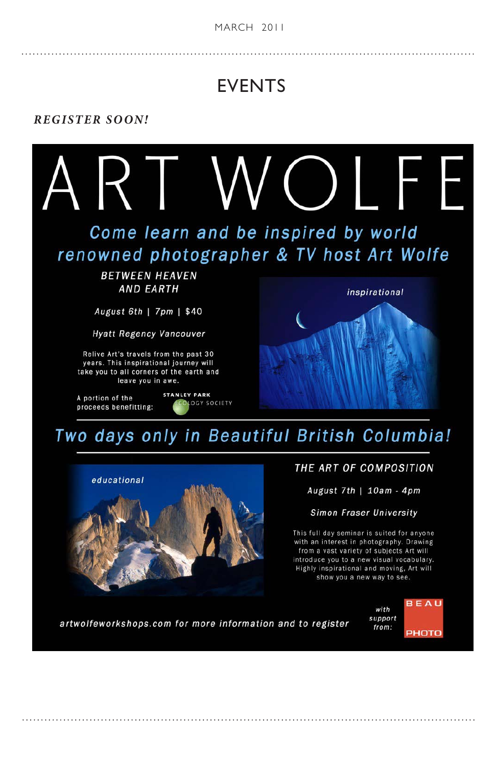#### **BEAU NEWS MARCH 2011**

### EVENTS

#### *REGISTER SOON!*



educational

August 7th | 10am - 4pm

Simon Fraser University

This full day seminar is suited for anyone with an interest in photography. Drawing from a vast variety of subjects Art will introduce you to a new visual vocabulary. Highly inspirational and moving, Art will show you a new way to see.

artwolfeworkshops.com for more information and to register